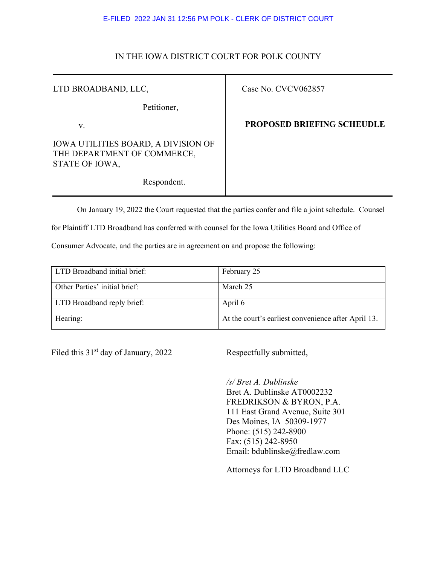## E-FILED 2022 JAN 31 12:56 PM POLK - CLERK OF DISTRICT COURT

## IN THE IOWA DISTRICT COURT FOR POLK COUNTY

Τ

| LTD BROADBAND, LLC,                                                                         | Case No. CVCV062857               |
|---------------------------------------------------------------------------------------------|-----------------------------------|
| Petitioner,                                                                                 |                                   |
| V.                                                                                          | <b>PROPOSED BRIEFING SCHEUDLE</b> |
| <b>IOWA UTILITIES BOARD, A DIVISION OF</b><br>THE DEPARTMENT OF COMMERCE,<br>STATE OF IOWA, |                                   |
| Respondent.                                                                                 |                                   |

On January 19, 2022 the Court requested that the parties confer and file a joint schedule. Counsel

for Plaintiff LTD Broadband has conferred with counsel for the Iowa Utilities Board and Office of

Consumer Advocate, and the parties are in agreement on and propose the following:

| LTD Broadband initial brief:  | February 25                                         |
|-------------------------------|-----------------------------------------------------|
| Other Parties' initial brief: | March 25                                            |
| LTD Broadband reply brief:    | April 6                                             |
| Hearing:                      | At the court's earliest convenience after April 13. |

Filed this 31<sup>st</sup> day of January, 2022 Respectfully submitted,

*/s/ Bret A. Dublinske*

Bret A. Dublinske AT0002232 FREDRIKSON & BYRON, P.A. 111 East Grand Avenue, Suite 301 Des Moines, IA 50309-1977 Phone: (515) 242-8900 Fax: (515) 242-8950 Email: bdublinske@fredlaw.com

Attorneys for LTD Broadband LLC